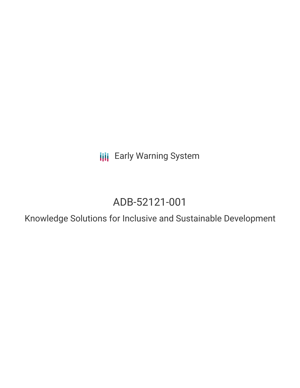**III** Early Warning System

# ADB-52121-001

Knowledge Solutions for Inclusive and Sustainable Development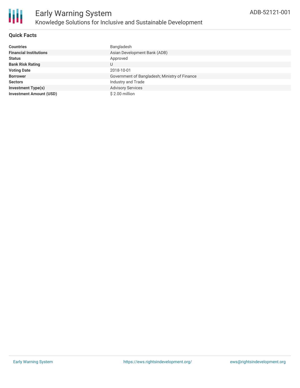

#### **Quick Facts**

| <b>Countries</b>               | Bangladesh                                    |
|--------------------------------|-----------------------------------------------|
| <b>Financial Institutions</b>  | Asian Development Bank (ADB)                  |
| <b>Status</b>                  | Approved                                      |
| <b>Bank Risk Rating</b>        | U                                             |
| <b>Voting Date</b>             | 2018-10-01                                    |
| <b>Borrower</b>                | Government of Bangladesh; Ministry of Finance |
| <b>Sectors</b>                 | Industry and Trade                            |
| <b>Investment Type(s)</b>      | <b>Advisory Services</b>                      |
| <b>Investment Amount (USD)</b> | \$2.00 million                                |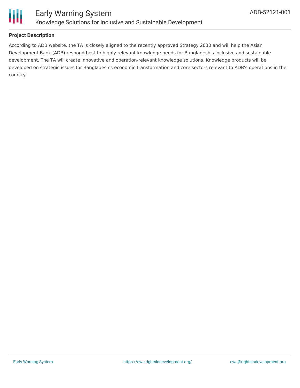

#### **Project Description**

According to ADB website, the TA is closely aligned to the recently approved Strategy 2030 and will help the Asian Development Bank (ADB) respond best to highly relevant knowledge needs for Bangladesh's inclusive and sustainable development. The TA will create innovative and operation-relevant knowledge solutions. Knowledge products will be developed on strategic issues for Bangladesh's economic transformation and core sectors relevant to ADB's operations in the country.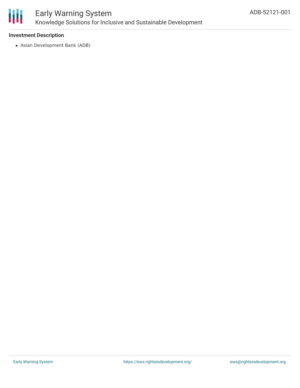

### Early Warning System Knowledge Solutions for Inclusive and Sustainable Development

#### **Investment Description**

Asian Development Bank (ADB)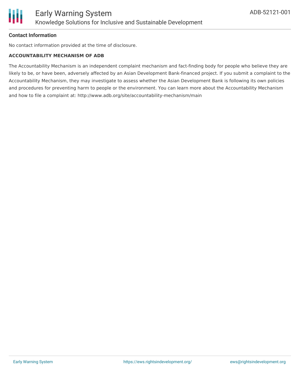

#### **Contact Information**

No contact information provided at the time of disclosure.

#### **ACCOUNTABILITY MECHANISM OF ADB**

The Accountability Mechanism is an independent complaint mechanism and fact-finding body for people who believe they are likely to be, or have been, adversely affected by an Asian Development Bank-financed project. If you submit a complaint to the Accountability Mechanism, they may investigate to assess whether the Asian Development Bank is following its own policies and procedures for preventing harm to people or the environment. You can learn more about the Accountability Mechanism and how to file a complaint at: http://www.adb.org/site/accountability-mechanism/main